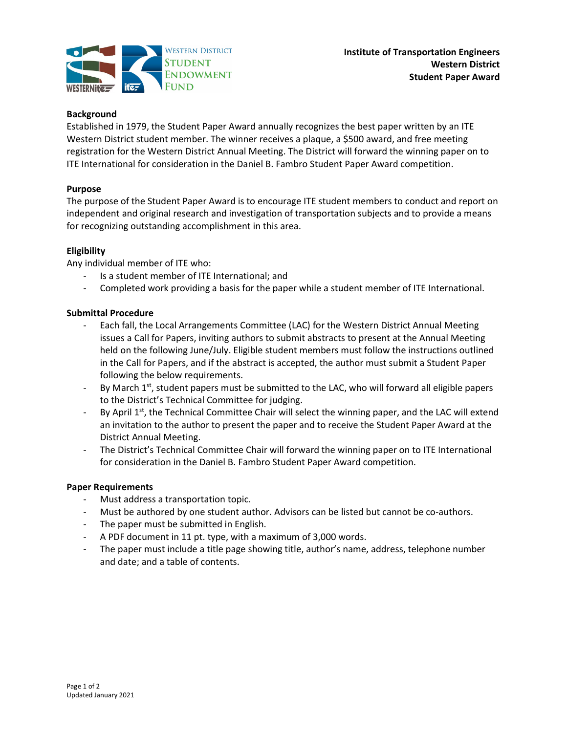

## **Background**

Established in 1979, the Student Paper Award annually recognizes the best paper written by an ITE Western District student member. The winner receives a plaque, a \$500 award, and free meeting registration for the Western District Annual Meeting. The District will forward the winning paper on to ITE International for consideration in the Daniel B. Fambro Student Paper Award competition.

#### Purpose

The purpose of the Student Paper Award is to encourage ITE student members to conduct and report on independent and original research and investigation of transportation subjects and to provide a means for recognizing outstanding accomplishment in this area.

## Eligibility

Any individual member of ITE who:

- Is a student member of ITE International; and
- Completed work providing a basis for the paper while a student member of ITE International.

## Submittal Procedure

- Each fall, the Local Arrangements Committee (LAC) for the Western District Annual Meeting issues a Call for Papers, inviting authors to submit abstracts to present at the Annual Meeting held on the following June/July. Eligible student members must follow the instructions outlined in the Call for Papers, and if the abstract is accepted, the author must submit a Student Paper following the below requirements.
- By March  $1<sup>st</sup>$ , student papers must be submitted to the LAC, who will forward all eligible papers to the District's Technical Committee for judging.
- By April  $1<sup>st</sup>$ , the Technical Committee Chair will select the winning paper, and the LAC will extend an invitation to the author to present the paper and to receive the Student Paper Award at the District Annual Meeting.
- The District's Technical Committee Chair will forward the winning paper on to ITE International for consideration in the Daniel B. Fambro Student Paper Award competition.

#### Paper Requirements

- Must address a transportation topic.
- Must be authored by one student author. Advisors can be listed but cannot be co-authors.
- The paper must be submitted in English.
- A PDF document in 11 pt. type, with a maximum of 3,000 words.
- The paper must include a title page showing title, author's name, address, telephone number and date; and a table of contents.